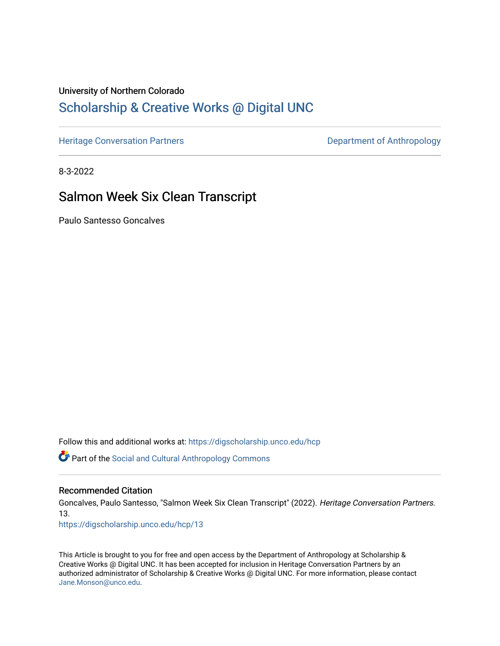# University of Northern Colorado

# [Scholarship & Creative Works @ Digital UNC](https://digscholarship.unco.edu/)

[Heritage Conversation Partners](https://digscholarship.unco.edu/hcp) **Department of Anthropology** 

8-3-2022

# Salmon Week Six Clean Transcript

Paulo Santesso Goncalves

Follow this and additional works at: [https://digscholarship.unco.edu/hcp](https://digscholarship.unco.edu/hcp?utm_source=digscholarship.unco.edu%2Fhcp%2F13&utm_medium=PDF&utm_campaign=PDFCoverPages) 

Part of the [Social and Cultural Anthropology Commons](http://network.bepress.com/hgg/discipline/323?utm_source=digscholarship.unco.edu%2Fhcp%2F13&utm_medium=PDF&utm_campaign=PDFCoverPages) 

#### Recommended Citation

Goncalves, Paulo Santesso, "Salmon Week Six Clean Transcript" (2022). Heritage Conversation Partners. 13.

[https://digscholarship.unco.edu/hcp/13](https://digscholarship.unco.edu/hcp/13?utm_source=digscholarship.unco.edu%2Fhcp%2F13&utm_medium=PDF&utm_campaign=PDFCoverPages) 

This Article is brought to you for free and open access by the Department of Anthropology at Scholarship & Creative Works @ Digital UNC. It has been accepted for inclusion in Heritage Conversation Partners by an authorized administrator of Scholarship & Creative Works @ Digital UNC. For more information, please contact [Jane.Monson@unco.edu.](mailto:Jane.Monson@unco.edu)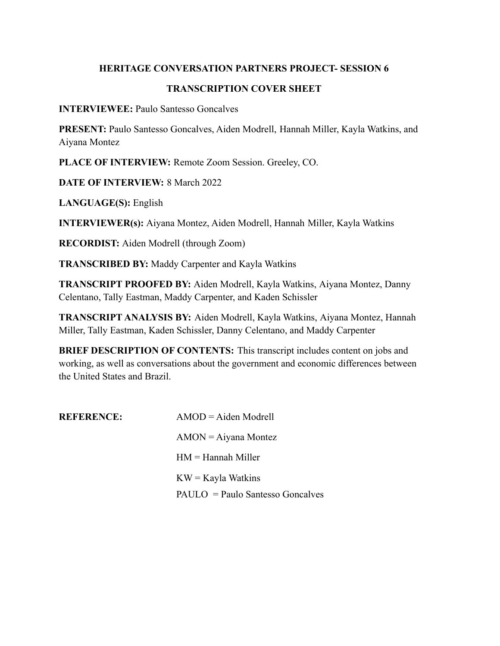## **HERITAGE CONVERSATION PARTNERS PROJECT- SESSION 6**

## **TRANSCRIPTION COVER SHEET**

**INTERVIEWEE:** Paulo Santesso Goncalves

**PRESENT:** Paulo Santesso Goncalves, Aiden Modrell, Hannah Miller, Kayla Watkins, and Aiyana Montez

**PLACE OF INTERVIEW:** Remote Zoom Session. Greeley, CO.

**DATE OF INTERVIEW:** 8 March 2022

**LANGUAGE(S):** English

**INTERVIEWER(s):** Aiyana Montez, Aiden Modrell, Hannah Miller, Kayla Watkins

**RECORDIST:** Aiden Modrell (through Zoom)

**TRANSCRIBED BY:** Maddy Carpenter and Kayla Watkins

**TRANSCRIPT PROOFED BY:** Aiden Modrell, Kayla Watkins, Aiyana Montez, Danny Celentano, Tally Eastman, Maddy Carpenter, and Kaden Schissler

**TRANSCRIPT ANALYSIS BY:** Aiden Modrell, Kayla Watkins, Aiyana Montez, Hannah Miller, Tally Eastman, Kaden Schissler, Danny Celentano, and Maddy Carpenter

**BRIEF DESCRIPTION OF CONTENTS:** This transcript includes content on jobs and working, as well as conversations about the government and economic differences between the United States and Brazil.

| <b>REFERENCE:</b> | $AMOD = Aiden Modrell$           |
|-------------------|----------------------------------|
|                   | $AMON = Aiyana Montez$           |
|                   | $HM =$ Hannah Miller             |
|                   | $KW = Kayla Watkins$             |
|                   | $PAULO = Paulo Santos$ Goncalves |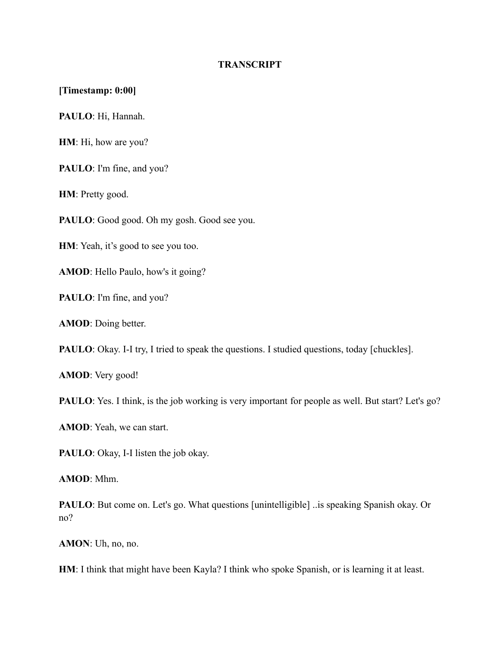#### **TRANSCRIPT**

#### **[Timestamp: 0:00]**

**PAULO**: Hi, Hannah.

**HM**: Hi, how are you?

**PAULO**: I'm fine, and you?

**HM**: Pretty good.

PAULO: Good good. Oh my gosh. Good see you.

**HM**: Yeah, it's good to see you too.

**AMOD**: Hello Paulo, how's it going?

**PAULO**: I'm fine, and you?

**AMOD**: Doing better.

**PAULO**: Okay. I-I try, I tried to speak the questions. I studied questions, today [chuckles].

**AMOD**: Very good!

**PAULO**: Yes. I think, is the job working is very important for people as well. But start? Let's go?

**AMOD**: Yeah, we can start.

PAULO: Okay, I-I listen the job okay.

**AMOD**: Mhm.

**PAULO**: But come on. Let's go. What questions [unintelligible] ..is speaking Spanish okay. Or no?

**AMON**: Uh, no, no.

**HM**: I think that might have been Kayla? I think who spoke Spanish, or is learning it at least.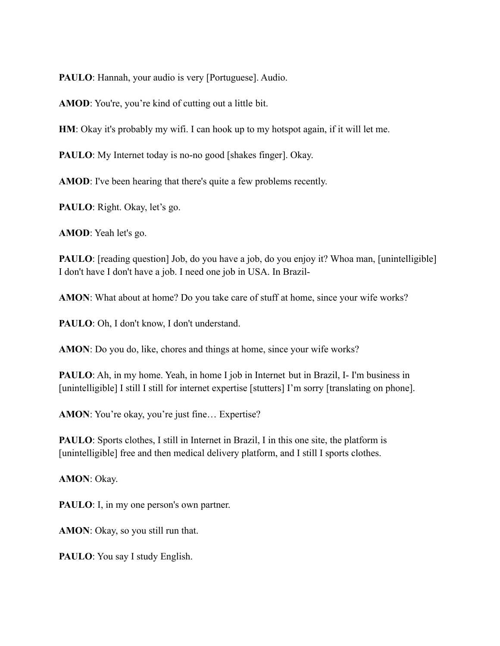**PAULO**: Hannah, your audio is very [Portuguese]. Audio.

**AMOD**: You're, you're kind of cutting out a little bit.

**HM**: Okay it's probably my wifi. I can hook up to my hotspot again, if it will let me.

**PAULO**: My Internet today is no-no good [shakes finger]. Okay.

**AMOD**: I've been hearing that there's quite a few problems recently.

**PAULO**: Right. Okay, let's go.

**AMOD**: Yeah let's go.

**PAULO**: [reading question] Job, do you have a job, do you enjoy it? Whoa man, [unintelligible] I don't have I don't have a job. I need one job in USA. In Brazil-

**AMON**: What about at home? Do you take care of stuff at home, since your wife works?

**PAULO**: Oh, I don't know, I don't understand.

**AMON**: Do you do, like, chores and things at home, since your wife works?

**PAULO**: Ah, in my home. Yeah, in home I job in Internet but in Brazil, I- I'm business in [unintelligible] I still I still for internet expertise [stutters] I'm sorry [translating on phone].

AMON: You're okay, you're just fine... Expertise?

**PAULO**: Sports clothes, I still in Internet in Brazil, I in this one site, the platform is [unintelligible] free and then medical delivery platform, and I still I sports clothes.

**AMON**: Okay.

**PAULO**: I, in my one person's own partner.

**AMON**: Okay, so you still run that.

PAULO: You say I study English.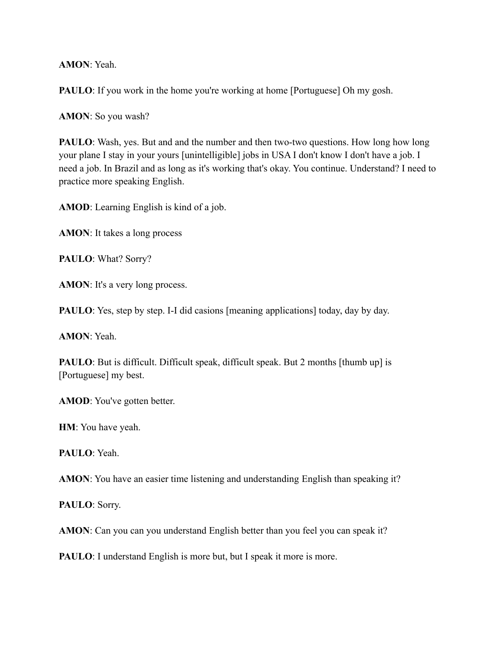**AMON**: Yeah.

**PAULO**: If you work in the home you're working at home [Portuguese] Oh my gosh.

**AMON**: So you wash?

**PAULO**: Wash, yes. But and and the number and then two-two questions. How long how long your plane I stay in your yours [unintelligible] jobs in USA I don't know I don't have a job. I need a job. In Brazil and as long as it's working that's okay. You continue. Understand? I need to practice more speaking English.

**AMOD**: Learning English is kind of a job.

**AMON**: It takes a long process

**PAULO**: What? Sorry?

**AMON**: It's a very long process.

**PAULO**: Yes, step by step. I-I did casions [meaning applications] today, day by day.

**AMON**: Yeah.

**PAULO**: But is difficult. Difficult speak, difficult speak. But 2 months [thumb up] is [Portuguese] my best.

**AMOD**: You've gotten better.

**HM**: You have yeah.

**PAULO**: Yeah.

**AMON**: You have an easier time listening and understanding English than speaking it?

**PAULO**: Sorry.

**AMON**: Can you can you understand English better than you feel you can speak it?

**PAULO**: I understand English is more but, but I speak it more is more.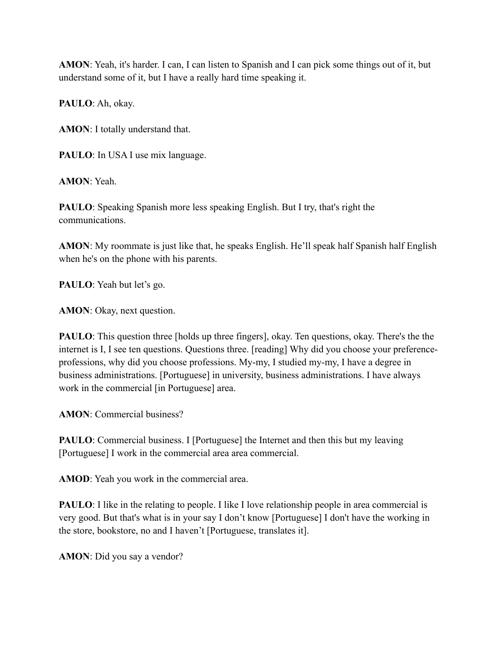**AMON**: Yeah, it's harder. I can, I can listen to Spanish and I can pick some things out of it, but understand some of it, but I have a really hard time speaking it.

**PAULO**: Ah, okay.

**AMON**: I totally understand that.

PAULO: In USA I use mix language.

**AMON**: Yeah.

**PAULO**: Speaking Spanish more less speaking English. But I try, that's right the communications.

**AMON**: My roommate is just like that, he speaks English. He'll speak half Spanish half English when he's on the phone with his parents.

**PAULO**: Yeah but let's go.

**AMON**: Okay, next question.

**PAULO**: This question three [holds up three fingers], okay. Ten questions, okay. There's the the internet is I, I see ten questions. Questions three. [reading] Why did you choose your preferenceprofessions, why did you choose professions. My-my, I studied my-my, I have a degree in business administrations. [Portuguese] in university, business administrations. I have always work in the commercial [in Portuguese] area.

**AMON**: Commercial business?

**PAULO**: Commercial business. I [Portuguese] the Internet and then this but my leaving [Portuguese] I work in the commercial area area commercial.

**AMOD**: Yeah you work in the commercial area.

**PAULO**: I like in the relating to people. I like I love relationship people in area commercial is very good. But that's what is in your say I don't know [Portuguese] I don't have the working in the store, bookstore, no and I haven't [Portuguese, translates it].

**AMON**: Did you say a vendor?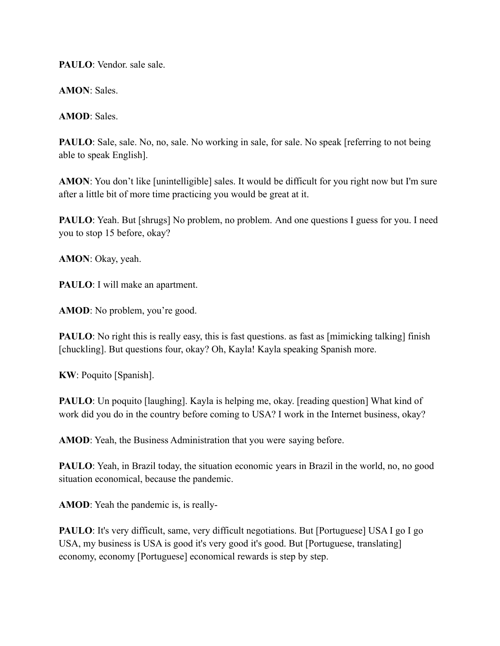**PAULO**: Vendor. sale sale.

**AMON**: Sales.

**AMOD**: Sales.

**PAULO**: Sale, sale. No, no, sale. No working in sale, for sale. No speak [referring to not being able to speak English].

**AMON**: You don't like [unintelligible] sales. It would be difficult for you right now but I'm sure after a little bit of more time practicing you would be great at it.

**PAULO**: Yeah. But [shrugs] No problem, no problem. And one questions I guess for you. I need you to stop 15 before, okay?

**AMON**: Okay, yeah.

**PAULO**: I will make an apartment.

**AMOD**: No problem, you're good.

**PAULO**: No right this is really easy, this is fast questions. as fast as [mimicking talking] finish [chuckling]. But questions four, okay? Oh, Kayla! Kayla speaking Spanish more.

**KW**: Poquito [Spanish].

**PAULO**: Un poquito [laughing]. Kayla is helping me, okay. [reading question] What kind of work did you do in the country before coming to USA? I work in the Internet business, okay?

**AMOD**: Yeah, the Business Administration that you were saying before.

**PAULO**: Yeah, in Brazil today, the situation economic years in Brazil in the world, no, no good situation economical, because the pandemic.

**AMOD**: Yeah the pandemic is, is really-

**PAULO**: It's very difficult, same, very difficult negotiations. But [Portuguese] USA I go I go USA, my business is USA is good it's very good it's good. But [Portuguese, translating] economy, economy [Portuguese] economical rewards is step by step.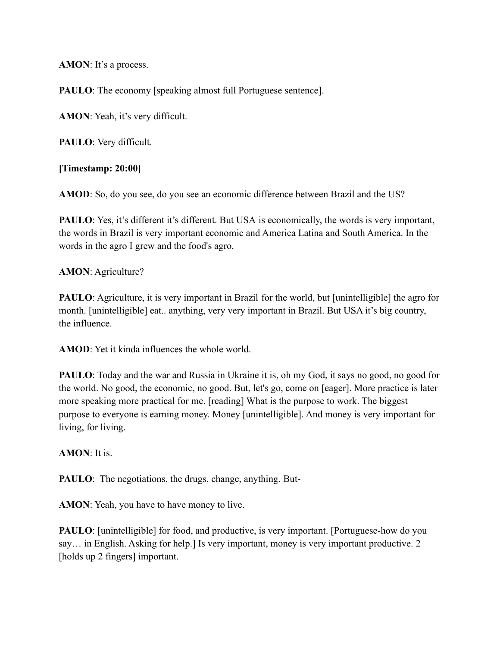**AMON**: It's a process.

**PAULO**: The economy [speaking almost full Portuguese sentence].

**AMON**: Yeah, it's very difficult.

**PAULO**: Very difficult.

**[Timestamp: 20:00]**

**AMOD**: So, do you see, do you see an economic difference between Brazil and the US?

**PAULO**: Yes, it's different it's different. But USA is economically, the words is very important, the words in Brazil is very important economic and America Latina and South America. In the words in the agro I grew and the food's agro.

**AMON**: Agriculture?

**PAULO**: Agriculture, it is very important in Brazil for the world, but [unintelligible] the agro for month. [unintelligible] eat.. anything, very very important in Brazil. But USA it's big country, the influence.

**AMOD**: Yet it kinda influences the whole world.

**PAULO**: Today and the war and Russia in Ukraine it is, oh my God, it says no good, no good for the world. No good, the economic, no good. But, let's go, come on [eager]. More practice is later more speaking more practical for me. [reading] What is the purpose to work. The biggest purpose to everyone is earning money. Money [unintelligible]. And money is very important for living, for living.

**AMON**: It is.

**PAULO**: The negotiations, the drugs, change, anything. But-

**AMON**: Yeah, you have to have money to live.

**PAULO**: [unintelligible] for food, and productive, is very important. [Portuguese-how do you say… in English. Asking for help.] Is very important, money is very important productive. 2 [holds up 2 fingers] important.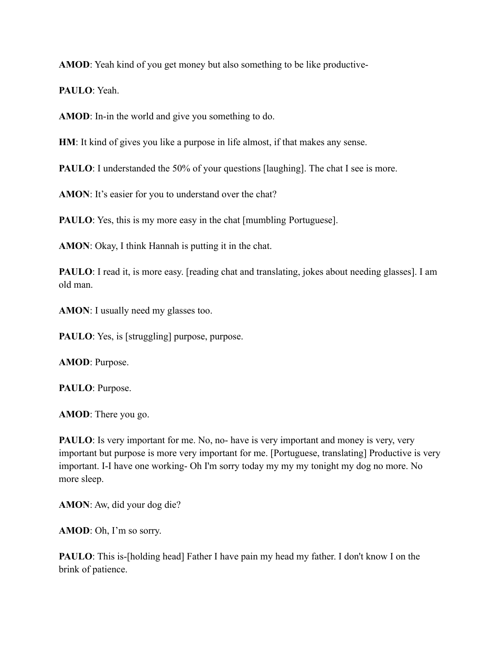**AMOD**: Yeah kind of you get money but also something to be like productive-

**PAULO**: Yeah.

**AMOD**: In-in the world and give you something to do.

**HM**: It kind of gives you like a purpose in life almost, if that makes any sense.

**PAULO**: I understanded the 50% of your questions [laughing]. The chat I see is more.

AMON: It's easier for you to understand over the chat?

**PAULO**: Yes, this is my more easy in the chat [mumbling Portuguese].

**AMON**: Okay, I think Hannah is putting it in the chat.

**PAULO**: I read it, is more easy. [reading chat and translating, jokes about needing glasses]. I am old man.

**AMON**: I usually need my glasses too.

**PAULO**: Yes, is [struggling] purpose, purpose.

**AMOD**: Purpose.

**PAULO**: Purpose.

**AMOD**: There you go.

**PAULO**: Is very important for me. No, no- have is very important and money is very, very important but purpose is more very important for me. [Portuguese, translating] Productive is very important. I-I have one working- Oh I'm sorry today my my my tonight my dog no more. No more sleep.

**AMON**: Aw, did your dog die?

**AMOD**: Oh, I'm so sorry.

**PAULO**: This is-[holding head] Father I have pain my head my father. I don't know I on the brink of patience.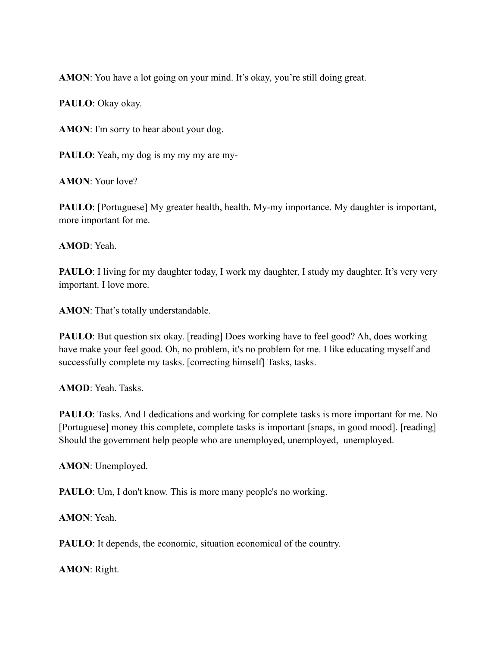**AMON**: You have a lot going on your mind. It's okay, you're still doing great.

**PAULO**: Okay okay.

**AMON**: I'm sorry to hear about your dog.

**PAULO**: Yeah, my dog is my my my are my-

**AMON**: Your love?

**PAULO**: [Portuguese] My greater health, health. My-my importance. My daughter is important, more important for me.

**AMOD**: Yeah.

**PAULO**: I living for my daughter today, I work my daughter, I study my daughter. It's very very important. I love more.

**AMON**: That's totally understandable.

**PAULO**: But question six okay. [reading] Does working have to feel good? Ah, does working have make your feel good. Oh, no problem, it's no problem for me. I like educating myself and successfully complete my tasks. [correcting himself] Tasks, tasks.

**AMOD**: Yeah. Tasks.

**PAULO**: Tasks. And I dedications and working for complete tasks is more important for me. No [Portuguese] money this complete, complete tasks is important [snaps, in good mood]. [reading] Should the government help people who are unemployed, unemployed, unemployed.

**AMON**: Unemployed.

**PAULO**: Um, I don't know. This is more many people's no working.

**AMON**: Yeah.

**PAULO**: It depends, the economic, situation economical of the country.

**AMON**: Right.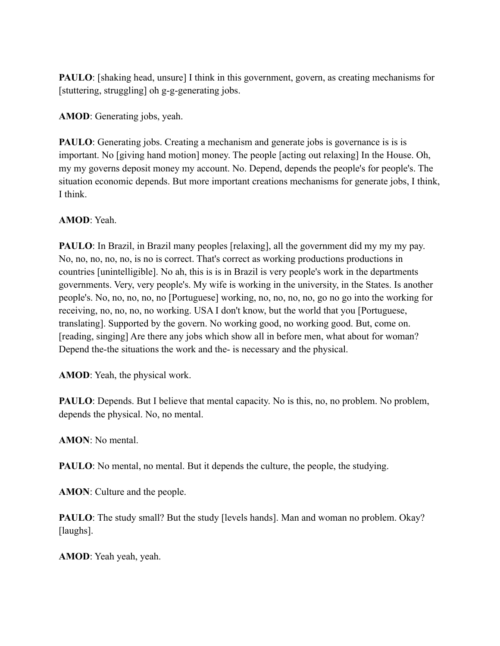**PAULO**: [shaking head, unsure] I think in this government, govern, as creating mechanisms for [stuttering, struggling] oh g-g-generating jobs.

**AMOD**: Generating jobs, yeah.

**PAULO**: Generating jobs. Creating a mechanism and generate jobs is governance is is is important. No [giving hand motion] money. The people [acting out relaxing] In the House. Oh, my my governs deposit money my account. No. Depend, depends the people's for people's. The situation economic depends. But more important creations mechanisms for generate jobs, I think, I think.

**AMOD**: Yeah.

**PAULO**: In Brazil, in Brazil many peoples [relaxing], all the government did my my my pay. No, no, no, no, no, is no is correct. That's correct as working productions productions in countries [unintelligible]. No ah, this is is in Brazil is very people's work in the departments governments. Very, very people's. My wife is working in the university, in the States. Is another people's. No, no, no, no, no [Portuguese] working, no, no, no, no, go no go into the working for receiving, no, no, no, no working. USA I don't know, but the world that you [Portuguese, translating]. Supported by the govern. No working good, no working good. But, come on. [reading, singing] Are there any jobs which show all in before men, what about for woman? Depend the-the situations the work and the- is necessary and the physical.

**AMOD**: Yeah, the physical work.

**PAULO**: Depends. But I believe that mental capacity. No is this, no, no problem. No problem, depends the physical. No, no mental.

**AMON**: No mental.

**PAULO**: No mental, no mental. But it depends the culture, the people, the studying.

**AMON**: Culture and the people.

**PAULO**: The study small? But the study [levels hands]. Man and woman no problem. Okay? [laughs].

**AMOD**: Yeah yeah, yeah.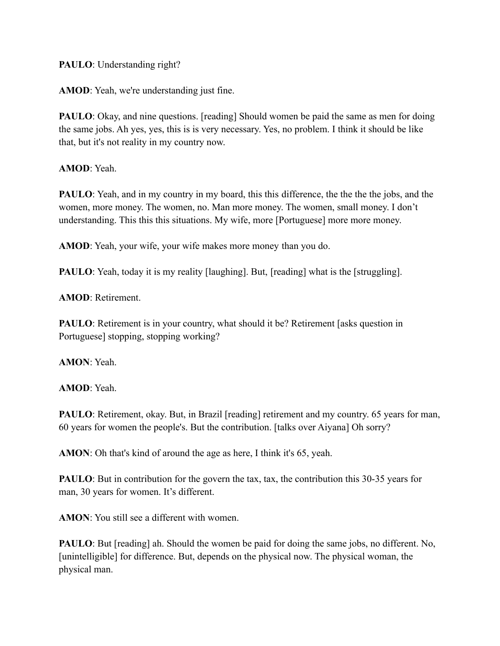# **PAULO**: Understanding right?

**AMOD**: Yeah, we're understanding just fine.

**PAULO**: Okay, and nine questions. [reading] Should women be paid the same as men for doing the same jobs. Ah yes, yes, this is is very necessary. Yes, no problem. I think it should be like that, but it's not reality in my country now.

**AMOD**: Yeah.

**PAULO**: Yeah, and in my country in my board, this this difference, the the the jobs, and the women, more money. The women, no. Man more money. The women, small money. I don't understanding. This this this situations. My wife, more [Portuguese] more more money.

**AMOD**: Yeah, your wife, your wife makes more money than you do.

**PAULO**: Yeah, today it is my reality [laughing]. But, [reading] what is the [struggling].

**AMOD**: Retirement.

**PAULO**: Retirement is in your country, what should it be? Retirement [asks question in Portuguese] stopping, stopping working?

**AMON**: Yeah.

**AMOD**: Yeah.

PAULO: Retirement, okay. But, in Brazil [reading] retirement and my country. 65 years for man, 60 years for women the people's. But the contribution. [talks over Aiyana] Oh sorry?

**AMON**: Oh that's kind of around the age as here, I think it's 65, yeah.

**PAULO**: But in contribution for the govern the tax, tax, the contribution this 30-35 years for man, 30 years for women. It's different.

**AMON**: You still see a different with women.

**PAULO**: But [reading] ah. Should the women be paid for doing the same jobs, no different. No, [unintelligible] for difference. But, depends on the physical now. The physical woman, the physical man.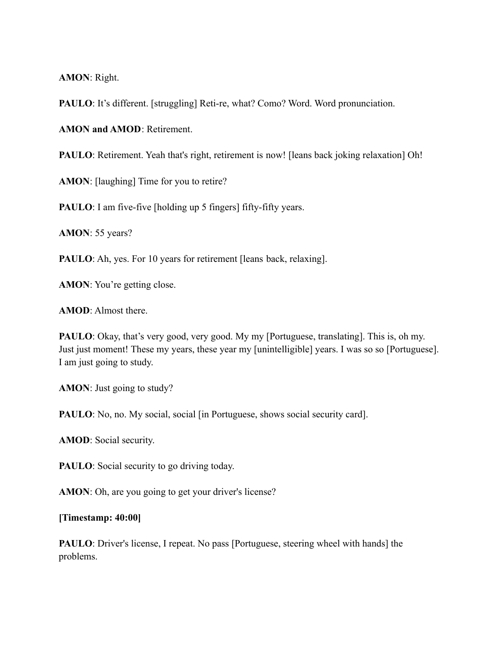**AMON**: Right.

**PAULO**: It's different. [struggling] Reti-re, what? Como? Word. Word pronunciation.

**AMON and AMOD**: Retirement.

**PAULO**: Retirement. Yeah that's right, retirement is now! [leans back joking relaxation] Oh!

**AMON**: [laughing] Time for you to retire?

**PAULO**: I am five-five [holding up 5 fingers] fifty-fifty years.

**AMON**: 55 years?

**PAULO**: Ah, yes. For 10 years for retirement [leans back, relaxing].

**AMON**: You're getting close.

**AMOD**: Almost there.

**PAULO**: Okay, that's very good, very good. My my [Portuguese, translating]. This is, oh my. Just just moment! These my years, these year my [unintelligible] years. I was so so [Portuguese]. I am just going to study.

**AMON**: Just going to study?

**PAULO**: No, no. My social, social [in Portuguese, shows social security card].

**AMOD**: Social security.

**PAULO**: Social security to go driving today.

AMON: Oh, are you going to get your driver's license?

## **[Timestamp: 40:00]**

**PAULO**: Driver's license, I repeat. No pass [Portuguese, steering wheel with hands] the problems.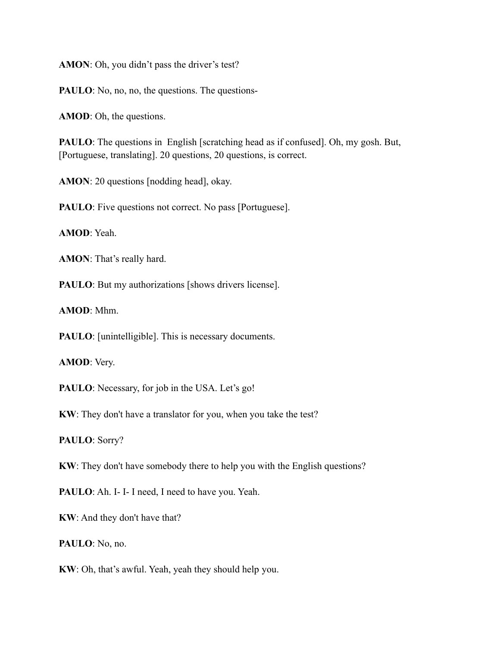**AMON**: Oh, you didn't pass the driver's test?

**PAULO**: No, no, no, the questions. The questions-

**AMOD**: Oh, the questions.

**PAULO**: The questions in English [scratching head as if confused]. Oh, my gosh. But, [Portuguese, translating]. 20 questions, 20 questions, is correct.

**AMON**: 20 questions [nodding head], okay.

**PAULO**: Five questions not correct. No pass [Portuguese].

**AMOD**: Yeah.

**AMON**: That's really hard.

**PAULO**: But my authorizations [shows drivers license].

**AMOD**: Mhm.

**PAULO**: [unintelligible]. This is necessary documents.

**AMOD**: Very.

PAULO: Necessary, for job in the USA. Let's go!

**KW**: They don't have a translator for you, when you take the test?

**PAULO**: Sorry?

**KW**: They don't have somebody there to help you with the English questions?

PAULO: Ah. I- I- I need, I need to have you. Yeah.

**KW**: And they don't have that?

**PAULO**: No, no.

**KW**: Oh, that's awful. Yeah, yeah they should help you.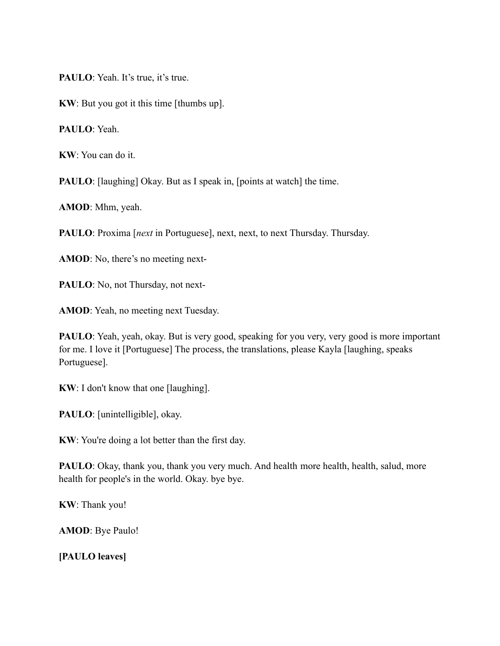**PAULO**: Yeah. It's true, it's true.

**KW**: But you got it this time [thumbs up].

**PAULO**: Yeah.

**KW**: You can do it.

**PAULO**: [laughing] Okay. But as I speak in, [points at watch] the time.

**AMOD**: Mhm, yeah.

**PAULO**: Proxima [*next* in Portuguese], next, next, to next Thursday. Thursday.

**AMOD**: No, there's no meeting next-

PAULO: No, not Thursday, not next-

**AMOD**: Yeah, no meeting next Tuesday.

**PAULO**: Yeah, yeah, okay. But is very good, speaking for you very, very good is more important for me. I love it [Portuguese] The process, the translations, please Kayla [laughing, speaks Portuguese].

**KW**: I don't know that one [laughing].

**PAULO**: [unintelligible], okay.

**KW**: You're doing a lot better than the first day.

**PAULO**: Okay, thank you, thank you very much. And health more health, health, salud, more health for people's in the world. Okay. bye bye.

**KW**: Thank you!

**AMOD**: Bye Paulo!

**[PAULO leaves]**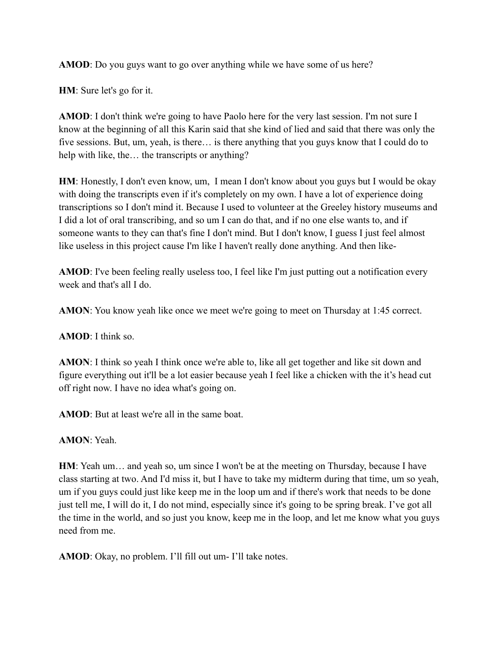**AMOD**: Do you guys want to go over anything while we have some of us here?

**HM**: Sure let's go for it.

**AMOD**: I don't think we're going to have Paolo here for the very last session. I'm not sure I know at the beginning of all this Karin said that she kind of lied and said that there was only the five sessions. But, um, yeah, is there… is there anything that you guys know that I could do to help with like, the… the transcripts or anything?

**HM**: Honestly, I don't even know, um, I mean I don't know about you guys but I would be okay with doing the transcripts even if it's completely on my own. I have a lot of experience doing transcriptions so I don't mind it. Because I used to volunteer at the Greeley history museums and I did a lot of oral transcribing, and so um I can do that, and if no one else wants to, and if someone wants to they can that's fine I don't mind. But I don't know, I guess I just feel almost like useless in this project cause I'm like I haven't really done anything. And then like-

**AMOD**: I've been feeling really useless too, I feel like I'm just putting out a notification every week and that's all I do.

**AMON**: You know yeah like once we meet we're going to meet on Thursday at 1:45 correct.

**AMOD**: I think so.

**AMON**: I think so yeah I think once we're able to, like all get together and like sit down and figure everything out it'll be a lot easier because yeah I feel like a chicken with the it's head cut off right now. I have no idea what's going on.

**AMOD**: But at least we're all in the same boat.

**AMON**: Yeah.

**HM**: Yeah um… and yeah so, um since I won't be at the meeting on Thursday, because I have class starting at two. And I'd miss it, but I have to take my midterm during that time, um so yeah, um if you guys could just like keep me in the loop um and if there's work that needs to be done just tell me, I will do it, I do not mind, especially since it's going to be spring break. I've got all the time in the world, and so just you know, keep me in the loop, and let me know what you guys need from me.

**AMOD**: Okay, no problem. I'll fill out um- I'll take notes.